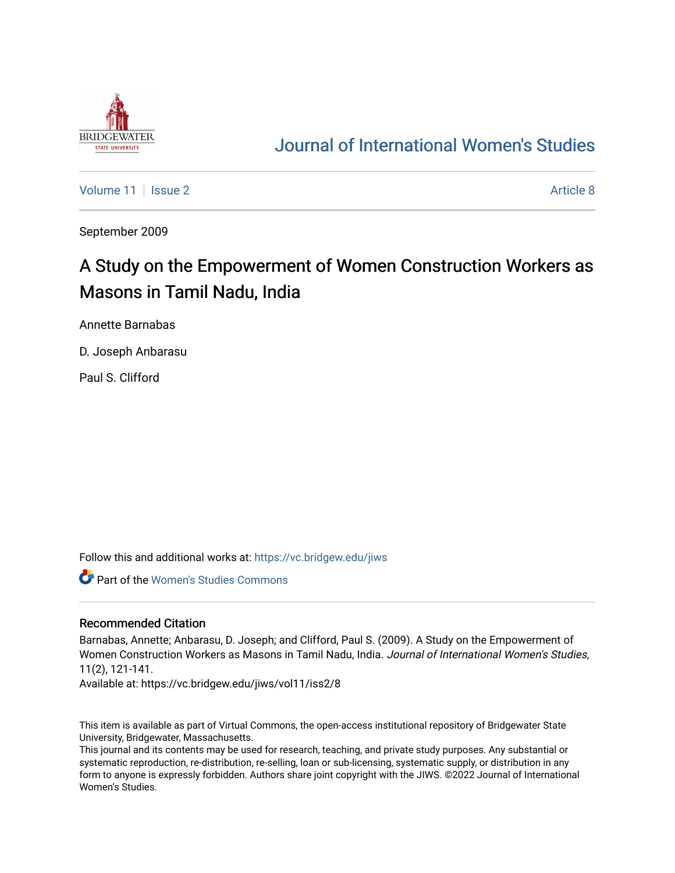

# [Journal of International Women's Studies](https://vc.bridgew.edu/jiws)

[Volume 11](https://vc.bridgew.edu/jiws/vol11) | [Issue 2](https://vc.bridgew.edu/jiws/vol11/iss2) Article 8

September 2009

# A Study on the Empowerment of Women Construction Workers as Masons in Tamil Nadu, India

Annette Barnabas

D. Joseph Anbarasu

Paul S. Clifford

Follow this and additional works at: [https://vc.bridgew.edu/jiws](https://vc.bridgew.edu/jiws?utm_source=vc.bridgew.edu%2Fjiws%2Fvol11%2Fiss2%2F8&utm_medium=PDF&utm_campaign=PDFCoverPages)

Part of the [Women's Studies Commons](http://network.bepress.com/hgg/discipline/561?utm_source=vc.bridgew.edu%2Fjiws%2Fvol11%2Fiss2%2F8&utm_medium=PDF&utm_campaign=PDFCoverPages) 

#### Recommended Citation

Barnabas, Annette; Anbarasu, D. Joseph; and Clifford, Paul S. (2009). A Study on the Empowerment of Women Construction Workers as Masons in Tamil Nadu, India. Journal of International Women's Studies, 11(2), 121-141.

Available at: https://vc.bridgew.edu/jiws/vol11/iss2/8

This item is available as part of Virtual Commons, the open-access institutional repository of Bridgewater State University, Bridgewater, Massachusetts.

This journal and its contents may be used for research, teaching, and private study purposes. Any substantial or systematic reproduction, re-distribution, re-selling, loan or sub-licensing, systematic supply, or distribution in any form to anyone is expressly forbidden. Authors share joint copyright with the JIWS. ©2022 Journal of International Women's Studies.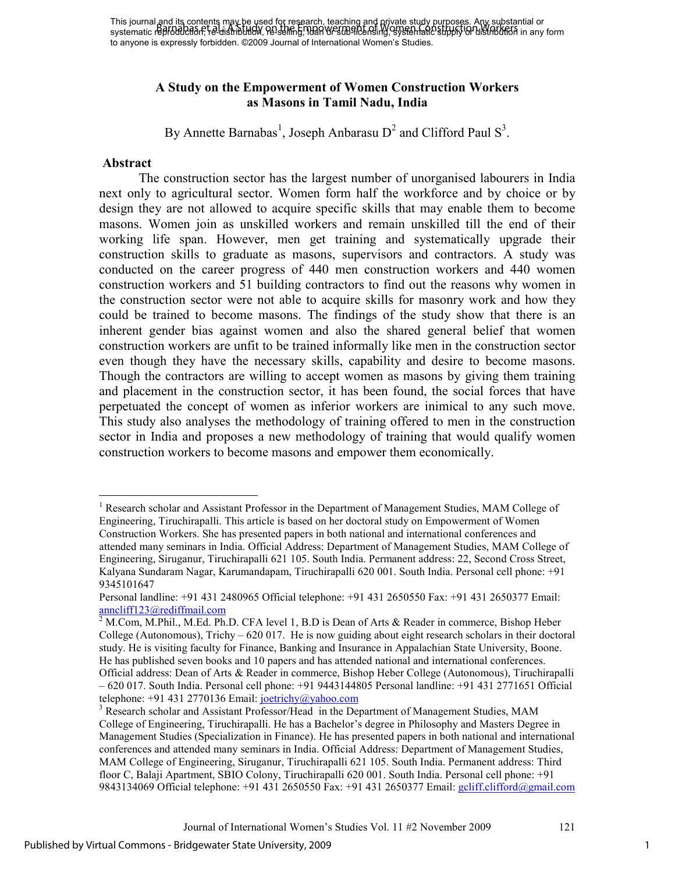# **A Study on the Empowerment of Women Construction Workers as Masons in Tamil Nadu, India**

By Annette Barnabas<sup>1</sup>, Joseph Anbarasu D<sup>2</sup> and Clifford Paul S<sup>3</sup>.

#### **Abstract**

The construction sector has the largest number of unorganised labourers in India next only to agricultural sector. Women form half the workforce and by choice or by design they are not allowed to acquire specific skills that may enable them to become masons. Women join as unskilled workers and remain unskilled till the end of their working life span. However, men get training and systematically upgrade their construction skills to graduate as masons, supervisors and contractors. A study was conducted on the career progress of 440 men construction workers and 440 women construction workers and 51 building contractors to find out the reasons why women in the construction sector were not able to acquire skills for masonry work and how they could be trained to become masons. The findings of the study show that there is an inherent gender bias against women and also the shared general belief that women construction workers are unfit to be trained informally like men in the construction sector even though they have the necessary skills, capability and desire to become masons. Though the contractors are willing to accept women as masons by giving them training and placement in the construction sector, it has been found, the social forces that have perpetuated the concept of women as inferior workers are inimical to any such move. This study also analyses the methodology of training offered to men in the construction sector in India and proposes a new methodology of training that would qualify women construction workers to become masons and empower them economically.

<sup>-</sup><sup>1</sup> Research scholar and Assistant Professor in the Department of Management Studies, MAM College of Engineering, Tiruchirapalli. This article is based on her doctoral study on Empowerment of Women Construction Workers. She has presented papers in both national and international conferences and attended many seminars in India. Official Address: Department of Management Studies, MAM College of Engineering, Siruganur, Tiruchirapalli 621 105. South India. Permanent address: 22, Second Cross Street, Kalyana Sundaram Nagar, Karumandapam, Tiruchirapalli 620 001. South India. Personal cell phone: +91 9345101647

Personal landline: +91 431 2480965 Official telephone: +91 431 2650550 Fax: +91 431 2650377 Email: anncliff123@rediffmail.com

<sup>&</sup>lt;sup>2</sup> M.Com, M.Phil., M.Ed. Ph.D. CFA level 1, B.D is Dean of Arts & Reader in commerce, Bishop Heber College (Autonomous), Trichy – 620 017. He is now guiding about eight research scholars in their doctoral study. He is visiting faculty for Finance, Banking and Insurance in Appalachian State University, Boone. He has published seven books and 10 papers and has attended national and international conferences. Official address: Dean of Arts & Reader in commerce, Bishop Heber College (Autonomous), Tiruchirapalli – 620 017. South India. Personal cell phone: +91 9443144805 Personal landline: +91 431 2771651 Official telephone:  $+91$  431 2770136 Email: joetrichy@yahoo.com

<sup>&</sup>lt;sup>3</sup> Research scholar and Assistant Professor/Head in the Department of Management Studies, MAM College of Engineering, Tiruchirapalli. He has a Bachelor's degree in Philosophy and Masters Degree in Management Studies (Specialization in Finance). He has presented papers in both national and international conferences and attended many seminars in India. Official Address: Department of Management Studies, MAM College of Engineering, Siruganur, Tiruchirapalli 621 105. South India. Permanent address: Third floor C, Balaji Apartment, SBIO Colony, Tiruchirapalli 620 001. South India. Personal cell phone: +91 9843134069 Official telephone: +91 431 2650550 Fax: +91 431 2650377 Email: gcliff.clifford@gmail.com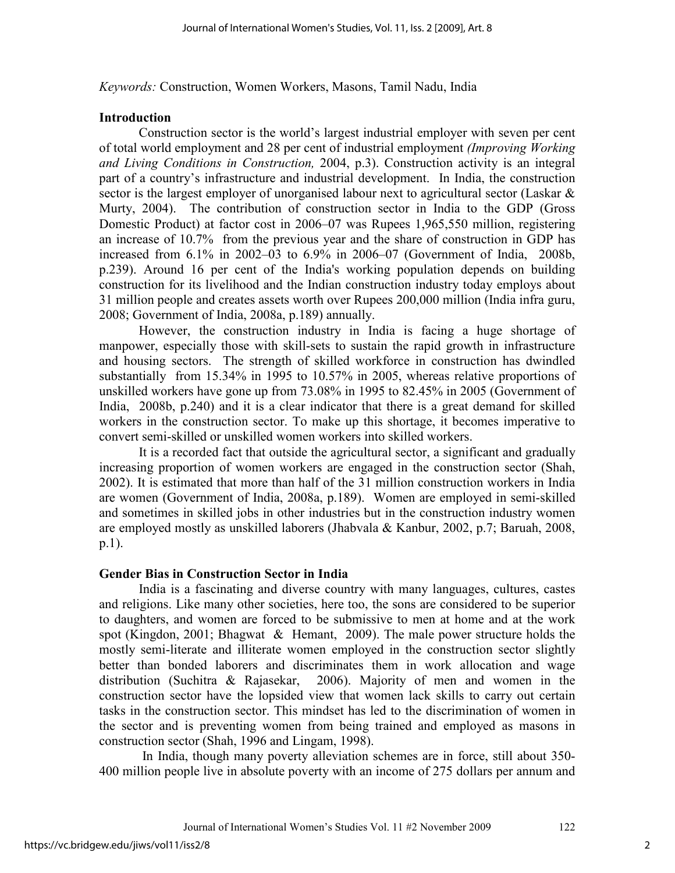*Keywords:* Construction, Women Workers, Masons, Tamil Nadu, India

#### **Introduction**

Construction sector is the world's largest industrial employer with seven per cent of total world employment and 28 per cent of industrial employment *(Improving Working and Living Conditions in Construction,* 2004, p.3). Construction activity is an integral part of a country's infrastructure and industrial development. In India, the construction sector is the largest employer of unorganised labour next to agricultural sector (Laskar & Murty, 2004). The contribution of construction sector in India to the GDP (Gross Domestic Product) at factor cost in 2006–07 was Rupees 1,965,550 million, registering an increase of 10.7% from the previous year and the share of construction in GDP has increased from 6.1% in 2002–03 to 6.9% in 2006–07 (Government of India, 2008b, p.239). Around 16 per cent of the India's working population depends on building construction for its livelihood and the Indian construction industry today employs about 31 million people and creates assets worth over Rupees 200,000 million (India infra guru, 2008; Government of India, 2008a, p.189) annually.

However, the construction industry in India is facing a huge shortage of manpower, especially those with skill-sets to sustain the rapid growth in infrastructure and housing sectors. The strength of skilled workforce in construction has dwindled substantially from 15.34% in 1995 to 10.57% in 2005, whereas relative proportions of unskilled workers have gone up from 73.08% in 1995 to 82.45% in 2005 (Government of India, 2008b, p.240) and it is a clear indicator that there is a great demand for skilled workers in the construction sector. To make up this shortage, it becomes imperative to convert semi-skilled or unskilled women workers into skilled workers.

It is a recorded fact that outside the agricultural sector, a significant and gradually increasing proportion of women workers are engaged in the construction sector (Shah, 2002). It is estimated that more than half of the 31 million construction workers in India are women (Government of India, 2008a, p.189). Women are employed in semi-skilled and sometimes in skilled jobs in other industries but in the construction industry women are employed mostly as unskilled laborers (Jhabvala & Kanbur, 2002, p.7; Baruah, 2008, p.1).

#### **Gender Bias in Construction Sector in India**

India is a fascinating and diverse country with many languages, cultures, castes and religions. Like many other societies, here too, the sons are considered to be superior to daughters, and women are forced to be submissive to men at home and at the work spot (Kingdon, 2001; Bhagwat & Hemant, 2009). The male power structure holds the mostly semi-literate and illiterate women employed in the construction sector slightly better than bonded laborers and discriminates them in work allocation and wage distribution (Suchitra & Rajasekar, 2006). Majority of men and women in the construction sector have the lopsided view that women lack skills to carry out certain tasks in the construction sector. This mindset has led to the discrimination of women in the sector and is preventing women from being trained and employed as masons in construction sector (Shah, 1996 and Lingam, 1998).

 In India, though many poverty alleviation schemes are in force, still about 350- 400 million people live in absolute poverty with an income of 275 dollars per annum and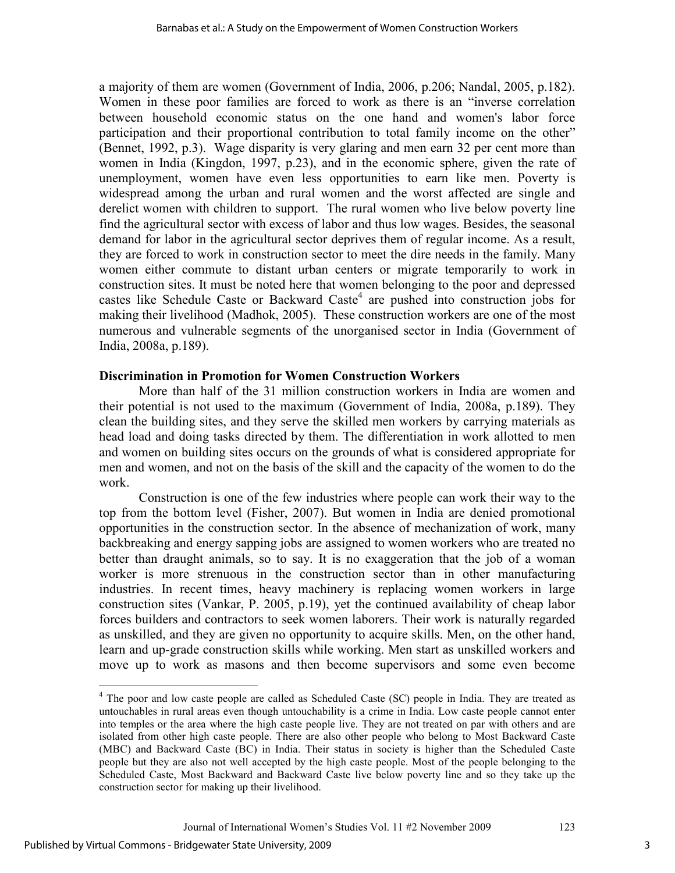a majority of them are women (Government of India, 2006, p.206; Nandal, 2005, p.182). Women in these poor families are forced to work as there is an "inverse correlation between household economic status on the one hand and women's labor force participation and their proportional contribution to total family income on the other" (Bennet, 1992, p.3). Wage disparity is very glaring and men earn 32 per cent more than women in India (Kingdon, 1997, p.23), and in the economic sphere, given the rate of unemployment, women have even less opportunities to earn like men. Poverty is widespread among the urban and rural women and the worst affected are single and derelict women with children to support. The rural women who live below poverty line find the agricultural sector with excess of labor and thus low wages. Besides, the seasonal demand for labor in the agricultural sector deprives them of regular income. As a result, they are forced to work in construction sector to meet the dire needs in the family. Many women either commute to distant urban centers or migrate temporarily to work in construction sites. It must be noted here that women belonging to the poor and depressed castes like Schedule Caste or Backward Caste<sup>4</sup> are pushed into construction jobs for making their livelihood (Madhok, 2005). These construction workers are one of the most numerous and vulnerable segments of the unorganised sector in India (Government of India, 2008a, p.189).

## **Discrimination in Promotion for Women Construction Workers**

More than half of the 31 million construction workers in India are women and their potential is not used to the maximum (Government of India, 2008a, p.189). They clean the building sites, and they serve the skilled men workers by carrying materials as head load and doing tasks directed by them. The differentiation in work allotted to men and women on building sites occurs on the grounds of what is considered appropriate for men and women, and not on the basis of the skill and the capacity of the women to do the work.

Construction is one of the few industries where people can work their way to the top from the bottom level (Fisher, 2007). But women in India are denied promotional opportunities in the construction sector. In the absence of mechanization of work, many backbreaking and energy sapping jobs are assigned to women workers who are treated no better than draught animals, so to say. It is no exaggeration that the job of a woman worker is more strenuous in the construction sector than in other manufacturing industries. In recent times, heavy machinery is replacing women workers in large construction sites (Vankar, P. 2005, p.19), yet the continued availability of cheap labor forces builders and contractors to seek women laborers. Their work is naturally regarded as unskilled, and they are given no opportunity to acquire skills. Men, on the other hand, learn and up-grade construction skills while working. Men start as unskilled workers and move up to work as masons and then become supervisors and some even become

<sup>&</sup>lt;sup>4</sup> The poor and low caste people are called as Scheduled Caste (SC) people in India. They are treated as untouchables in rural areas even though untouchability is a crime in India. Low caste people cannot enter into temples or the area where the high caste people live. They are not treated on par with others and are isolated from other high caste people. There are also other people who belong to Most Backward Caste (MBC) and Backward Caste (BC) in India. Their status in society is higher than the Scheduled Caste people but they are also not well accepted by the high caste people. Most of the people belonging to the Scheduled Caste, Most Backward and Backward Caste live below poverty line and so they take up the construction sector for making up their livelihood.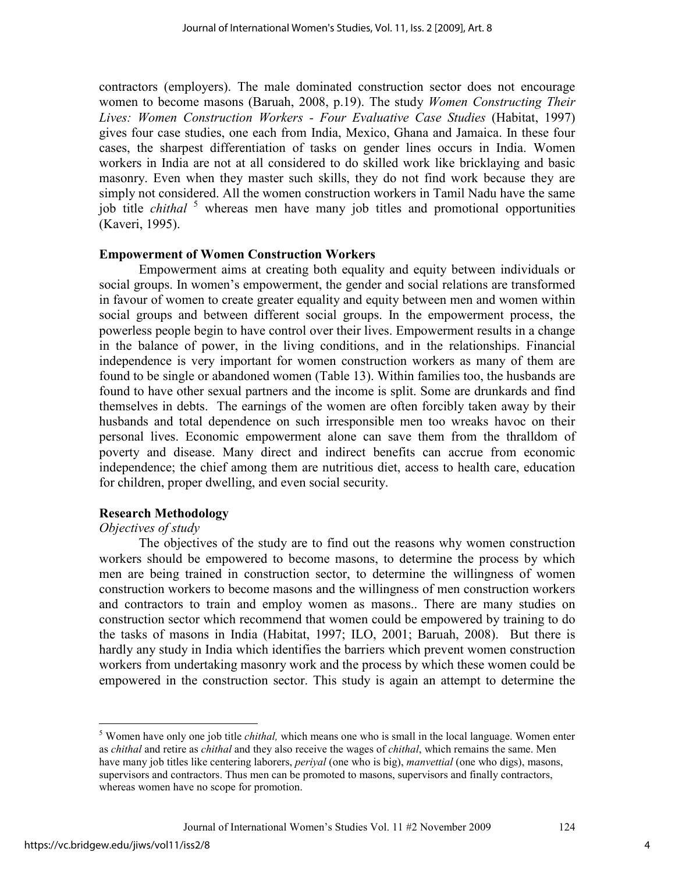contractors (employers). The male dominated construction sector does not encourage women to become masons (Baruah, 2008, p.19). The study *Women Constructing Their Lives: Women Construction Workers - Four Evaluative Case Studies* (Habitat, 1997) gives four case studies, one each from India, Mexico, Ghana and Jamaica. In these four cases, the sharpest differentiation of tasks on gender lines occurs in India. Women workers in India are not at all considered to do skilled work like bricklaying and basic masonry. Even when they master such skills, they do not find work because they are simply not considered. All the women construction workers in Tamil Nadu have the same job title *chithal* <sup>5</sup> whereas men have many job titles and promotional opportunities (Kaveri, 1995).

## **Empowerment of Women Construction Workers**

Empowerment aims at creating both equality and equity between individuals or social groups. In women's empowerment, the gender and social relations are transformed in favour of women to create greater equality and equity between men and women within social groups and between different social groups. In the empowerment process, the powerless people begin to have control over their lives. Empowerment results in a change in the balance of power, in the living conditions, and in the relationships. Financial independence is very important for women construction workers as many of them are found to be single or abandoned women (Table 13). Within families too, the husbands are found to have other sexual partners and the income is split. Some are drunkards and find themselves in debts. The earnings of the women are often forcibly taken away by their husbands and total dependence on such irresponsible men too wreaks havoc on their personal lives. Economic empowerment alone can save them from the thralldom of poverty and disease. Many direct and indirect benefits can accrue from economic independence; the chief among them are nutritious diet, access to health care, education for children, proper dwelling, and even social security.

## **Research Methodology**

#### *Objectives of study*

The objectives of the study are to find out the reasons why women construction workers should be empowered to become masons, to determine the process by which men are being trained in construction sector, to determine the willingness of women construction workers to become masons and the willingness of men construction workers and contractors to train and employ women as masons.. There are many studies on construction sector which recommend that women could be empowered by training to do the tasks of masons in India (Habitat, 1997; ILO, 2001; Baruah, 2008). But there is hardly any study in India which identifies the barriers which prevent women construction workers from undertaking masonry work and the process by which these women could be empowered in the construction sector. This study is again an attempt to determine the

 5 Women have only one job title *chithal,* which means one who is small in the local language. Women enter as *chithal* and retire as *chithal* and they also receive the wages of *chithal*, which remains the same. Men have many job titles like centering laborers, *periyal* (one who is big), *manvettial* (one who digs), masons, supervisors and contractors. Thus men can be promoted to masons, supervisors and finally contractors, whereas women have no scope for promotion.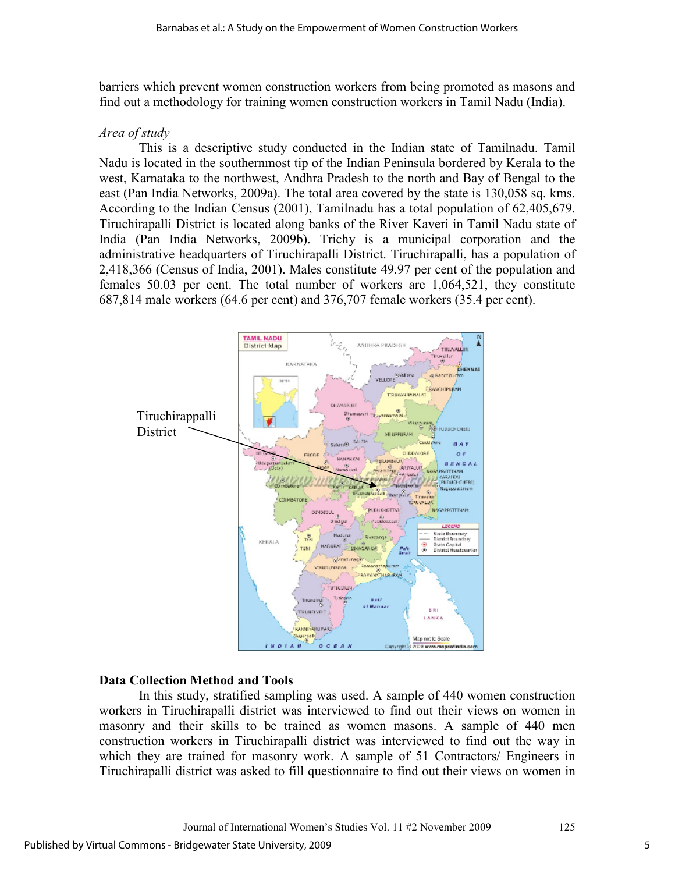barriers which prevent women construction workers from being promoted as masons and find out a methodology for training women construction workers in Tamil Nadu (India).

# *Area of study*

This is a descriptive study conducted in the Indian state of Tamilnadu. Tamil Nadu is located in the southernmost tip of the Indian Peninsula bordered by Kerala to the west, Karnataka to the northwest, Andhra Pradesh to the north and Bay of Bengal to the east (Pan India Networks, 2009a). The total area covered by the state is 130,058 sq. kms. According to the Indian Census (2001), Tamilnadu has a total population of 62,405,679. Tiruchirapalli District is located along banks of the River Kaveri in Tamil Nadu state of India (Pan India Networks, 2009b). Trichy is a municipal corporation and the administrative headquarters of Tiruchirapalli District. Tiruchirapalli, has a population of 2,418,366 (Census of India, 2001). Males constitute 49.97 per cent of the population and females 50.03 per cent. The total number of workers are 1,064,521, they constitute 687,814 male workers (64.6 per cent) and 376,707 female workers (35.4 per cent).



## **Data Collection Method and Tools**

In this study, stratified sampling was used. A sample of 440 women construction workers in Tiruchirapalli district was interviewed to find out their views on women in masonry and their skills to be trained as women masons. A sample of 440 men construction workers in Tiruchirapalli district was interviewed to find out the way in which they are trained for masonry work. A sample of 51 Contractors/ Engineers in Tiruchirapalli district was asked to fill questionnaire to find out their views on women in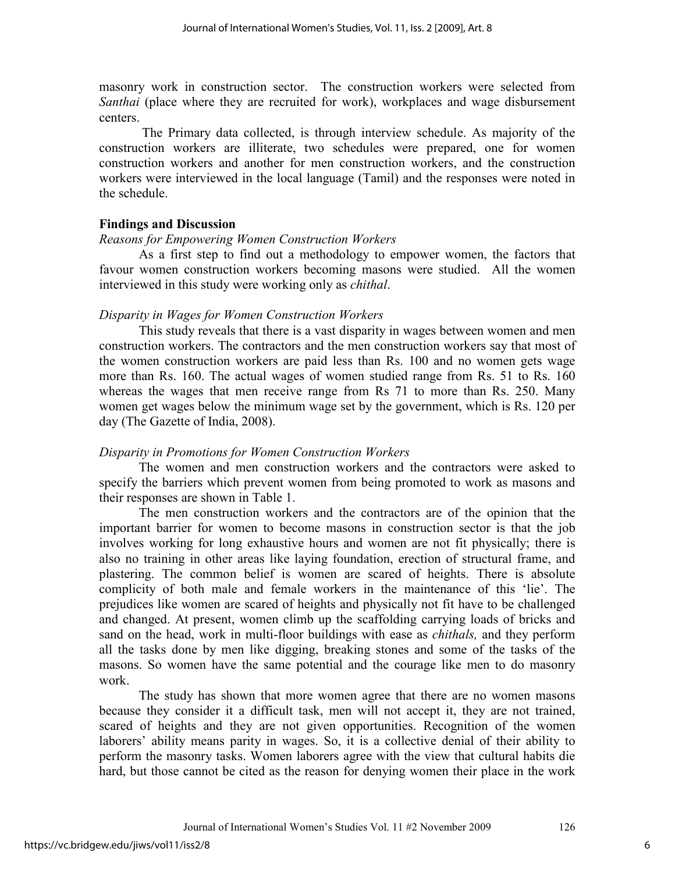masonry work in construction sector. The construction workers were selected from *Santhai* (place where they are recruited for work), workplaces and wage disbursement centers.

 The Primary data collected, is through interview schedule. As majority of the construction workers are illiterate, two schedules were prepared, one for women construction workers and another for men construction workers, and the construction workers were interviewed in the local language (Tamil) and the responses were noted in the schedule.

# **Findings and Discussion**

## *Reasons for Empowering Women Construction Workers*

As a first step to find out a methodology to empower women, the factors that favour women construction workers becoming masons were studied. All the women interviewed in this study were working only as *chithal*.

# *Disparity in Wages for Women Construction Workers*

This study reveals that there is a vast disparity in wages between women and men construction workers. The contractors and the men construction workers say that most of the women construction workers are paid less than Rs. 100 and no women gets wage more than Rs. 160. The actual wages of women studied range from Rs. 51 to Rs. 160 whereas the wages that men receive range from Rs 71 to more than Rs. 250. Many women get wages below the minimum wage set by the government, which is Rs. 120 per day (The Gazette of India, 2008).

# *Disparity in Promotions for Women Construction Workers*

The women and men construction workers and the contractors were asked to specify the barriers which prevent women from being promoted to work as masons and their responses are shown in Table 1.

The men construction workers and the contractors are of the opinion that the important barrier for women to become masons in construction sector is that the job involves working for long exhaustive hours and women are not fit physically; there is also no training in other areas like laying foundation, erection of structural frame, and plastering. The common belief is women are scared of heights. There is absolute complicity of both male and female workers in the maintenance of this 'lie'. The prejudices like women are scared of heights and physically not fit have to be challenged and changed. At present, women climb up the scaffolding carrying loads of bricks and sand on the head, work in multi-floor buildings with ease as *chithals,* and they perform all the tasks done by men like digging, breaking stones and some of the tasks of the masons. So women have the same potential and the courage like men to do masonry work.

The study has shown that more women agree that there are no women masons because they consider it a difficult task, men will not accept it, they are not trained, scared of heights and they are not given opportunities. Recognition of the women laborers' ability means parity in wages. So, it is a collective denial of their ability to perform the masonry tasks. Women laborers agree with the view that cultural habits die hard, but those cannot be cited as the reason for denying women their place in the work

6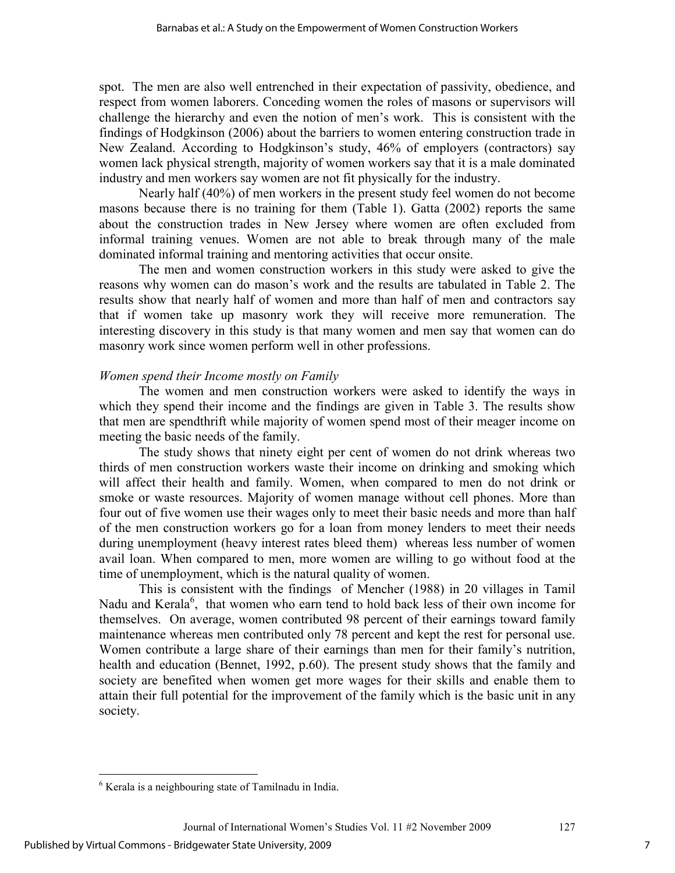spot. The men are also well entrenched in their expectation of passivity, obedience, and respect from women laborers. Conceding women the roles of masons or supervisors will challenge the hierarchy and even the notion of men's work. This is consistent with the findings of Hodgkinson (2006) about the barriers to women entering construction trade in New Zealand. According to Hodgkinson's study, 46% of employers (contractors) say women lack physical strength, majority of women workers say that it is a male dominated industry and men workers say women are not fit physically for the industry.

Nearly half (40%) of men workers in the present study feel women do not become masons because there is no training for them (Table 1). Gatta (2002) reports the same about the construction trades in New Jersey where women are often excluded from informal training venues. Women are not able to break through many of the male dominated informal training and mentoring activities that occur onsite.

 The men and women construction workers in this study were asked to give the reasons why women can do mason's work and the results are tabulated in Table 2. The results show that nearly half of women and more than half of men and contractors say that if women take up masonry work they will receive more remuneration. The interesting discovery in this study is that many women and men say that women can do masonry work since women perform well in other professions.

# *Women spend their Income mostly on Family*

 The women and men construction workers were asked to identify the ways in which they spend their income and the findings are given in Table 3. The results show that men are spendthrift while majority of women spend most of their meager income on meeting the basic needs of the family.

 The study shows that ninety eight per cent of women do not drink whereas two thirds of men construction workers waste their income on drinking and smoking which will affect their health and family. Women, when compared to men do not drink or smoke or waste resources. Majority of women manage without cell phones. More than four out of five women use their wages only to meet their basic needs and more than half of the men construction workers go for a loan from money lenders to meet their needs during unemployment (heavy interest rates bleed them) whereas less number of women avail loan. When compared to men, more women are willing to go without food at the time of unemployment, which is the natural quality of women.

 This is consistent with the findings of Mencher (1988) in 20 villages in Tamil Nadu and Kerala<sup>6</sup>, that women who earn tend to hold back less of their own income for themselves. On average, women contributed 98 percent of their earnings toward family maintenance whereas men contributed only 78 percent and kept the rest for personal use. Women contribute a large share of their earnings than men for their family's nutrition, health and education (Bennet, 1992, p.60). The present study shows that the family and society are benefited when women get more wages for their skills and enable them to attain their full potential for the improvement of the family which is the basic unit in any society.

 $\overline{a}$ 6 Kerala is a neighbouring state of Tamilnadu in India.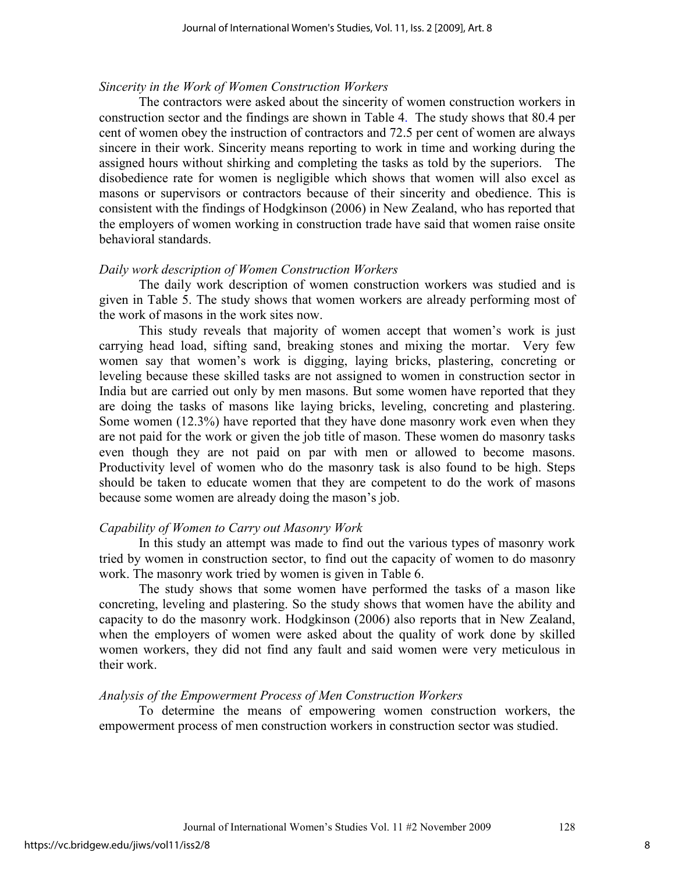#### *Sincerity in the Work of Women Construction Workers*

 The contractors were asked about the sincerity of women construction workers in construction sector and the findings are shown in Table 4. The study shows that 80.4 per cent of women obey the instruction of contractors and 72.5 per cent of women are always sincere in their work. Sincerity means reporting to work in time and working during the assigned hours without shirking and completing the tasks as told by the superiors. The disobedience rate for women is negligible which shows that women will also excel as masons or supervisors or contractors because of their sincerity and obedience. This is consistent with the findings of Hodgkinson (2006) in New Zealand, who has reported that the employers of women working in construction trade have said that women raise onsite behavioral standards.

#### *Daily work description of Women Construction Workers*

The daily work description of women construction workers was studied and is given in Table 5. The study shows that women workers are already performing most of the work of masons in the work sites now.

 This study reveals that majority of women accept that women's work is just carrying head load, sifting sand, breaking stones and mixing the mortar. Very few women say that women's work is digging, laying bricks, plastering, concreting or leveling because these skilled tasks are not assigned to women in construction sector in India but are carried out only by men masons. But some women have reported that they are doing the tasks of masons like laying bricks, leveling, concreting and plastering. Some women (12.3%) have reported that they have done masonry work even when they are not paid for the work or given the job title of mason. These women do masonry tasks even though they are not paid on par with men or allowed to become masons. Productivity level of women who do the masonry task is also found to be high. Steps should be taken to educate women that they are competent to do the work of masons because some women are already doing the mason's job.

#### *Capability of Women to Carry out Masonry Work*

 In this study an attempt was made to find out the various types of masonry work tried by women in construction sector, to find out the capacity of women to do masonry work. The masonry work tried by women is given in Table 6.

 The study shows that some women have performed the tasks of a mason like concreting, leveling and plastering. So the study shows that women have the ability and capacity to do the masonry work. Hodgkinson (2006) also reports that in New Zealand, when the employers of women were asked about the quality of work done by skilled women workers, they did not find any fault and said women were very meticulous in their work.

#### *Analysis of the Empowerment Process of Men Construction Workers*

 To determine the means of empowering women construction workers, the empowerment process of men construction workers in construction sector was studied.

8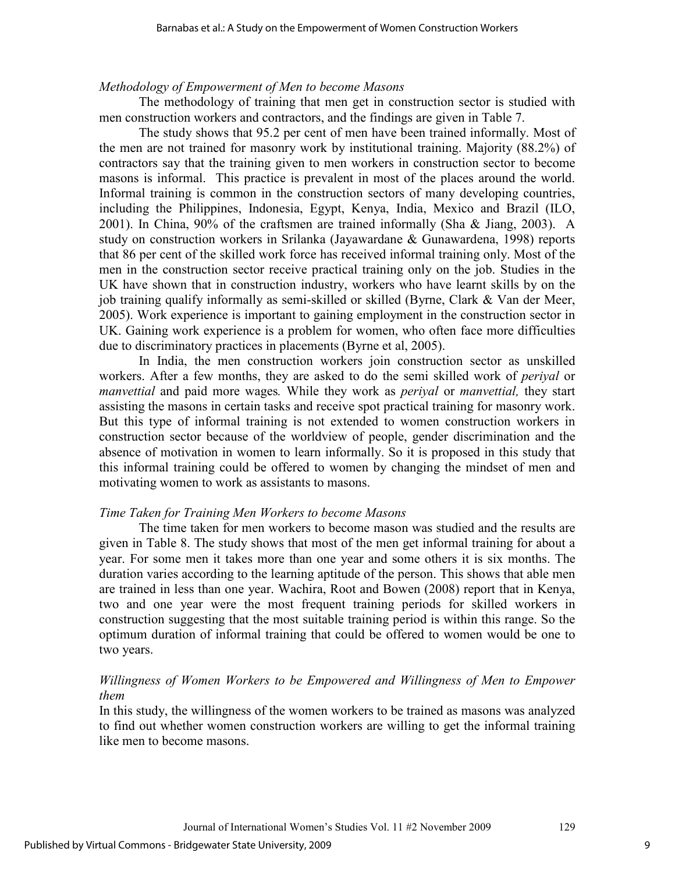#### *Methodology of Empowerment of Men to become Masons*

 The methodology of training that men get in construction sector is studied with men construction workers and contractors, and the findings are given in Table 7.

 The study shows that 95.2 per cent of men have been trained informally. Most of the men are not trained for masonry work by institutional training. Majority (88.2%) of contractors say that the training given to men workers in construction sector to become masons is informal. This practice is prevalent in most of the places around the world. Informal training is common in the construction sectors of many developing countries, including the Philippines, Indonesia, Egypt, Kenya, India, Mexico and Brazil (ILO, 2001). In China, 90% of the craftsmen are trained informally (Sha & Jiang, 2003). A study on construction workers in Srilanka (Jayawardane & Gunawardena, 1998) reports that 86 per cent of the skilled work force has received informal training only. Most of the men in the construction sector receive practical training only on the job. Studies in the UK have shown that in construction industry, workers who have learnt skills by on the job training qualify informally as semi-skilled or skilled (Byrne, Clark & Van der Meer, 2005). Work experience is important to gaining employment in the construction sector in UK. Gaining work experience is a problem for women, who often face more difficulties due to discriminatory practices in placements (Byrne et al, 2005).

 In India, the men construction workers join construction sector as unskilled workers. After a few months, they are asked to do the semi skilled work of *periyal* or *manvettial* and paid more wages*.* While they work as *periyal* or *manvettial,* they start assisting the masons in certain tasks and receive spot practical training for masonry work. But this type of informal training is not extended to women construction workers in construction sector because of the worldview of people, gender discrimination and the absence of motivation in women to learn informally. So it is proposed in this study that this informal training could be offered to women by changing the mindset of men and motivating women to work as assistants to masons.

## *Time Taken for Training Men Workers to become Masons*

 The time taken for men workers to become mason was studied and the results are given in Table 8. The study shows that most of the men get informal training for about a year. For some men it takes more than one year and some others it is six months. The duration varies according to the learning aptitude of the person. This shows that able men are trained in less than one year. Wachira, Root and Bowen (2008) report that in Kenya, two and one year were the most frequent training periods for skilled workers in construction suggesting that the most suitable training period is within this range. So the optimum duration of informal training that could be offered to women would be one to two years.

# *Willingness of Women Workers to be Empowered and Willingness of Men to Empower them*

In this study, the willingness of the women workers to be trained as masons was analyzed to find out whether women construction workers are willing to get the informal training like men to become masons.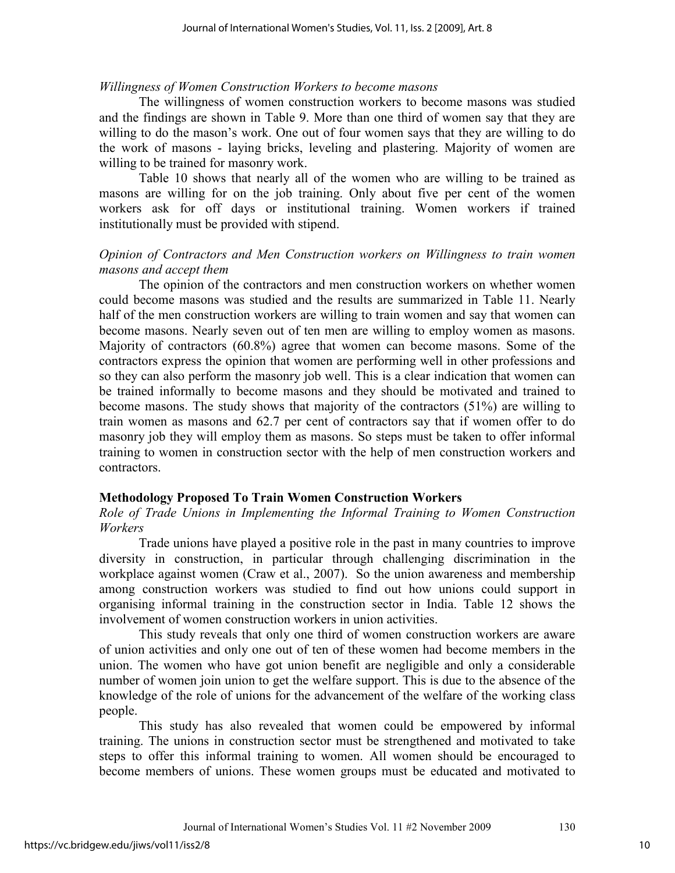#### *Willingness of Women Construction Workers to become masons*

The willingness of women construction workers to become masons was studied and the findings are shown in Table 9. More than one third of women say that they are willing to do the mason's work. One out of four women says that they are willing to do the work of masons - laying bricks, leveling and plastering. Majority of women are willing to be trained for masonry work.

 Table 10 shows that nearly all of the women who are willing to be trained as masons are willing for on the job training. Only about five per cent of the women workers ask for off days or institutional training. Women workers if trained institutionally must be provided with stipend.

# *Opinion of Contractors and Men Construction workers on Willingness to train women masons and accept them*

 The opinion of the contractors and men construction workers on whether women could become masons was studied and the results are summarized in Table 11. Nearly half of the men construction workers are willing to train women and say that women can become masons. Nearly seven out of ten men are willing to employ women as masons. Majority of contractors (60.8%) agree that women can become masons. Some of the contractors express the opinion that women are performing well in other professions and so they can also perform the masonry job well. This is a clear indication that women can be trained informally to become masons and they should be motivated and trained to become masons. The study shows that majority of the contractors (51%) are willing to train women as masons and 62.7 per cent of contractors say that if women offer to do masonry job they will employ them as masons. So steps must be taken to offer informal training to women in construction sector with the help of men construction workers and contractors.

## **Methodology Proposed To Train Women Construction Workers**

*Role of Trade Unions in Implementing the Informal Training to Women Construction Workers* 

 Trade unions have played a positive role in the past in many countries to improve diversity in construction, in particular through challenging discrimination in the workplace against women (Craw et al., 2007). So the union awareness and membership among construction workers was studied to find out how unions could support in organising informal training in the construction sector in India. Table 12 shows the involvement of women construction workers in union activities.

 This study reveals that only one third of women construction workers are aware of union activities and only one out of ten of these women had become members in the union. The women who have got union benefit are negligible and only a considerable number of women join union to get the welfare support. This is due to the absence of the knowledge of the role of unions for the advancement of the welfare of the working class people.

 This study has also revealed that women could be empowered by informal training. The unions in construction sector must be strengthened and motivated to take steps to offer this informal training to women. All women should be encouraged to become members of unions. These women groups must be educated and motivated to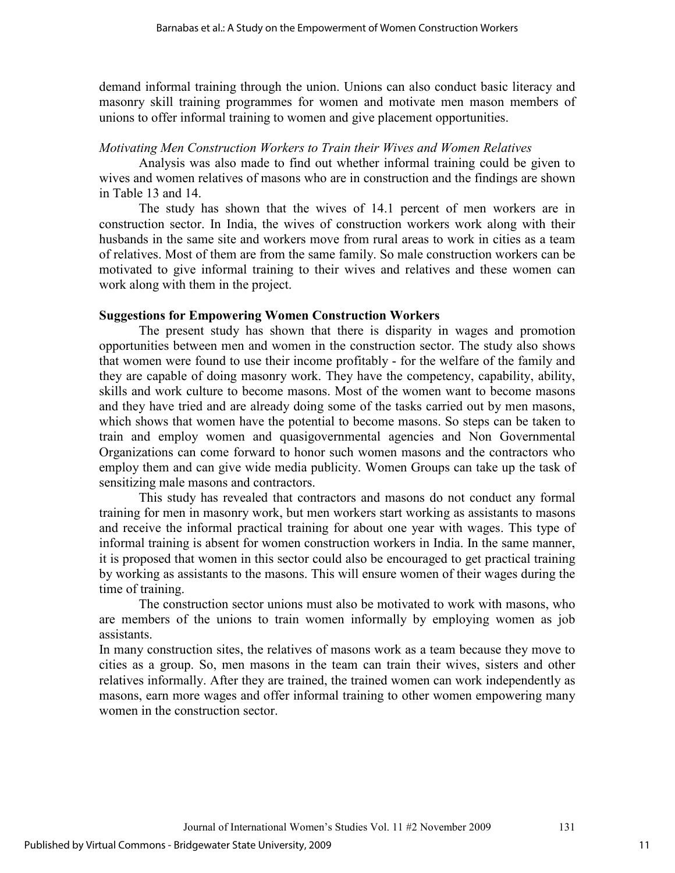demand informal training through the union. Unions can also conduct basic literacy and masonry skill training programmes for women and motivate men mason members of unions to offer informal training to women and give placement opportunities.

# *Motivating Men Construction Workers to Train their Wives and Women Relatives*

 Analysis was also made to find out whether informal training could be given to wives and women relatives of masons who are in construction and the findings are shown in Table 13 and 14.

 The study has shown that the wives of 14.1 percent of men workers are in construction sector. In India, the wives of construction workers work along with their husbands in the same site and workers move from rural areas to work in cities as a team of relatives. Most of them are from the same family. So male construction workers can be motivated to give informal training to their wives and relatives and these women can work along with them in the project.

# **Suggestions for Empowering Women Construction Workers**

 The present study has shown that there is disparity in wages and promotion opportunities between men and women in the construction sector. The study also shows that women were found to use their income profitably - for the welfare of the family and they are capable of doing masonry work. They have the competency, capability, ability, skills and work culture to become masons. Most of the women want to become masons and they have tried and are already doing some of the tasks carried out by men masons, which shows that women have the potential to become masons. So steps can be taken to train and employ women and quasigovernmental agencies and Non Governmental Organizations can come forward to honor such women masons and the contractors who employ them and can give wide media publicity. Women Groups can take up the task of sensitizing male masons and contractors.

 This study has revealed that contractors and masons do not conduct any formal training for men in masonry work, but men workers start working as assistants to masons and receive the informal practical training for about one year with wages. This type of informal training is absent for women construction workers in India. In the same manner, it is proposed that women in this sector could also be encouraged to get practical training by working as assistants to the masons. This will ensure women of their wages during the time of training.

 The construction sector unions must also be motivated to work with masons, who are members of the unions to train women informally by employing women as job assistants.

In many construction sites, the relatives of masons work as a team because they move to cities as a group. So, men masons in the team can train their wives, sisters and other relatives informally. After they are trained, the trained women can work independently as masons, earn more wages and offer informal training to other women empowering many women in the construction sector.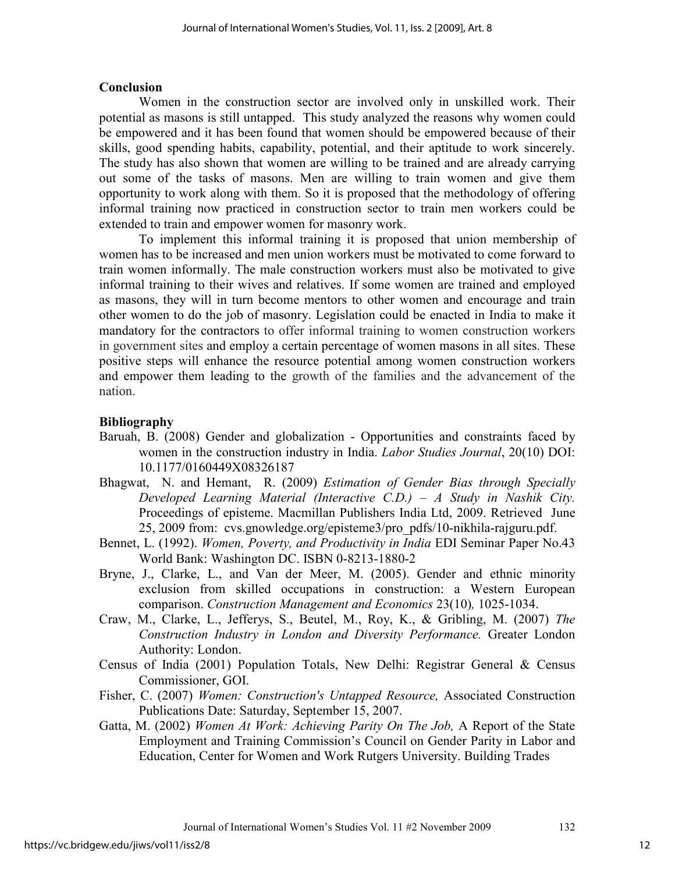# **Conclusion**

Women in the construction sector are involved only in unskilled work. Their potential as masons is still untapped. This study analyzed the reasons why women could be empowered and it has been found that women should be empowered because of their skills, good spending habits, capability, potential, and their aptitude to work sincerely. The study has also shown that women are willing to be trained and are already carrying out some of the tasks of masons. Men are willing to train women and give them opportunity to work along with them. So it is proposed that the methodology of offering informal training now practiced in construction sector to train men workers could be extended to train and empower women for masonry work.

 To implement this informal training it is proposed that union membership of women has to be increased and men union workers must be motivated to come forward to train women informally. The male construction workers must also be motivated to give informal training to their wives and relatives. If some women are trained and employed as masons, they will in turn become mentors to other women and encourage and train other women to do the job of masonry. Legislation could be enacted in India to make it mandatory for the contractors to offer informal training to women construction workers in government sites and employ a certain percentage of women masons in all sites. These positive steps will enhance the resource potential among women construction workers and empower them leading to the growth of the families and the advancement of the nation.

# **Bibliography**

- Baruah, B. (2008) Gender and globalization Opportunities and constraints faced by women in the construction industry in India. *Labor Studies Journal*, 20(10) DOI: 10.1177/0160449X08326187
- Bhagwat, N. and Hemant, R. (2009) *Estimation of Gender Bias through Specially Developed Learning Material (Interactive C.D.) – A Study in Nashik City.*  Proceedings of episteme. Macmillan Publishers India Ltd, 2009. Retrieved June 25, 2009 from: cvs.gnowledge.org/episteme3/pro\_pdfs/10-nikhila-rajguru.pdf.
- Bennet, L. (1992). *Women, Poverty, and Productivity in India* EDI Seminar Paper No.43 World Bank: Washington DC. ISBN 0-8213-1880-2
- Bryne, J., Clarke, L., and Van der Meer, M. (2005). Gender and ethnic minority exclusion from skilled occupations in construction: a Western European comparison. *Construction Management and Economics* 23(10)*,* 1025-1034.
- Craw, M., Clarke, L., Jefferys, S., Beutel, M., Roy, K., & Gribling, M. (2007) *The Construction Industry in London and Diversity Performance.* Greater London Authority: London.
- Census of India (2001) Population Totals, New Delhi: Registrar General & Census Commissioner, GOI.
- Fisher, C. (2007) *Women: Construction's Untapped Resource,* Associated Construction Publications Date: Saturday, September 15, 2007.
- Gatta, M. (2002) *Women At Work: Achieving Parity On The Job,* A Report of the State Employment and Training Commission's Council on Gender Parity in Labor and Education, Center for Women and Work Rutgers University. Building Trades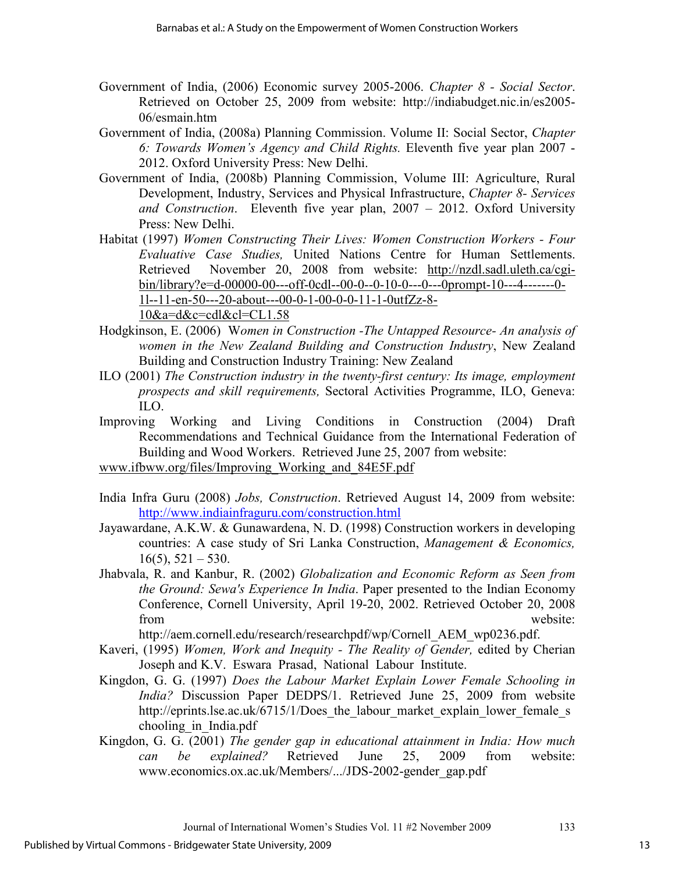- Government of India, (2006) Economic survey 2005-2006. *Chapter 8 Social Sector*. Retrieved on October 25, 2009 from website: http://indiabudget.nic.in/es2005- 06/esmain.htm
- Government of India, (2008a) Planning Commission. Volume II: Social Sector, *Chapter 6: Towards Women's Agency and Child Rights.* Eleventh five year plan 2007 - 2012. Oxford University Press: New Delhi.
- Government of India, (2008b) Planning Commission, Volume III: Agriculture, Rural Development, Industry, Services and Physical Infrastructure, *Chapter 8- Services and Construction*. Eleventh five year plan, 2007 – 2012. Oxford University Press: New Delhi.
- Habitat (1997) *Women Constructing Their Lives: Women Construction Workers Four Evaluative Case Studies,* United Nations Centre for Human Settlements. Retrieved November 20, 2008 from website: http://nzdl.sadl.uleth.ca/cgibin/library?e=d-00000-00---off-0cdl--00-0--0-10-0---0---0prompt-10---4-------0- 1l--11-en-50---20-about---00-0-1-00-0-0-11-1-0utfZz-8- 10&a=d&c=cdl&cl=CL1.58
- Hodgkinson, E. (2006) W*omen in Construction -The Untapped Resource- An analysis of women in the New Zealand Building and Construction Industry*, New Zealand Building and Construction Industry Training: New Zealand
- ILO (2001) *The Construction industry in the twenty-first century: Its image, employment prospects and skill requirements,* Sectoral Activities Programme, ILO, Geneva: ILO.
- Improving Working and Living Conditions in Construction (2004) Draft Recommendations and Technical Guidance from the International Federation of Building and Wood Workers. Retrieved June 25, 2007 from website:
- www.ifbww.org/files/Improving\_Working\_and\_84E5F.pdf
- India Infra Guru (2008) *Jobs, Construction*. Retrieved August 14, 2009 from website: http://www.indiainfraguru.com/construction.html
- Jayawardane, A.K.W. & Gunawardena, N. D. (1998) Construction workers in developing countries: A case study of Sri Lanka Construction, *Management & Economics,*  $16(5)$ ,  $521 - 530$ .
- Jhabvala, R. and Kanbur, R. (2002) *Globalization and Economic Reform as Seen from the Ground: Sewa's Experience In India*. Paper presented to the Indian Economy Conference, Cornell University, April 19-20, 2002. Retrieved October 20, 2008 from website:

http://aem.cornell.edu/research/researchpdf/wp/Cornell\_AEM\_wp0236.pdf.

- Kaveri, (1995) *Women, Work and Inequity The Reality of Gender,* edited by Cherian Joseph and K.V. Eswara Prasad, National Labour Institute.
- Kingdon, G. G. (1997) *Does the Labour Market Explain Lower Female Schooling in India?* Discussion Paper DEDPS/1. Retrieved June 25, 2009 from website http://eprints.lse.ac.uk/6715/1/Does the labour market explain lower female s chooling\_in\_India.pdf
- Kingdon, G. G. (2001) *The gender gap in educational attainment in India: How much can be explained?* Retrieved June 25, 2009 from website: www.economics.ox.ac.uk/Members/.../JDS-2002-gender\_gap.pdf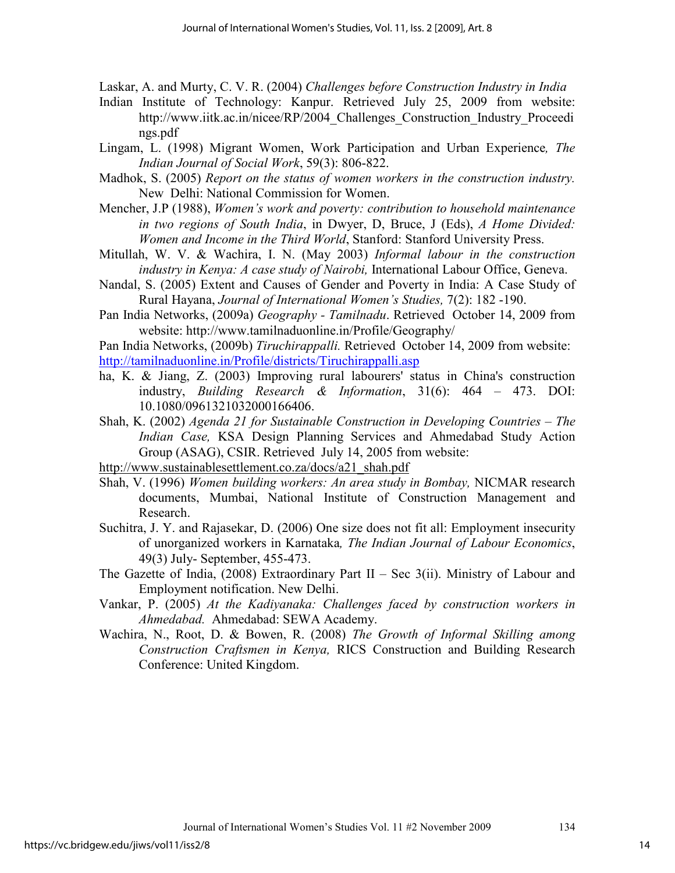Laskar, A. and Murty, C. V. R. (2004) *Challenges before Construction Industry in India*

- Indian Institute of Technology: Kanpur. Retrieved July 25, 2009 from website: http://www.iitk.ac.in/nicee/RP/2004 Challenges Construction Industry Proceedi ngs.pdf
- Lingam, L. (1998) Migrant Women, Work Participation and Urban Experience*, The Indian Journal of Social Work*, 59(3): 806-822.
- Madhok, S. (2005) *Report on the status of women workers in the construction industry.* New Delhi: National Commission for Women.
- Mencher, J.P (1988), *Women's work and poverty: contribution to household maintenance in two regions of South India*, in Dwyer, D, Bruce, J (Eds), *A Home Divided: Women and Income in the Third World*, Stanford: Stanford University Press.
- Mitullah, W. V. & Wachira, I. N. (May 2003) *Informal labour in the construction industry in Kenya: A case study of Nairobi,* International Labour Office, Geneva.
- Nandal, S. (2005) Extent and Causes of Gender and Poverty in India: A Case Study of Rural Hayana, *Journal of International Women's Studies,* 7(2): 182 -190.
- Pan India Networks, (2009a) *Geography Tamilnadu*. Retrieved October 14, 2009 from website: http://www.tamilnaduonline.in/Profile/Geography/

Pan India Networks, (2009b) *Tiruchirappalli.* Retrieved October 14, 2009 from website: http://tamilnaduonline.in/Profile/districts/Tiruchirappalli.asp

- ha, K. & Jiang, Z. (2003) Improving rural labourers' status in China's construction industry, *Building Research & Information*, 31(6): 464 – 473. DOI: 10.1080/0961321032000166406.
- Shah, K. (2002) *Agenda 21 for Sustainable Construction in Developing Countries The Indian Case,* KSA Design Planning Services and Ahmedabad Study Action Group (ASAG), CSIR. Retrieved July 14, 2005 from website:
- http://www.sustainablesettlement.co.za/docs/a21\_shah.pdf
- Shah, V. (1996) *Women building workers: An area study in Bombay,* NICMAR research documents, Mumbai, National Institute of Construction Management and Research.
- Suchitra, J. Y. and Rajasekar, D. (2006) One size does not fit all: Employment insecurity of unorganized workers in Karnataka*, The Indian Journal of Labour Economics*, 49(3) July- September, 455-473.
- The Gazette of India,  $(2008)$  Extraordinary Part II Sec 3(ii). Ministry of Labour and Employment notification. New Delhi.
- Vankar, P. (2005) *At the Kadiyanaka: Challenges faced by construction workers in Ahmedabad.* Ahmedabad: SEWA Academy.
- Wachira, N., Root, D. & Bowen, R. (2008) *The Growth of Informal Skilling among Construction Craftsmen in Kenya,* RICS Construction and Building Research Conference: United Kingdom.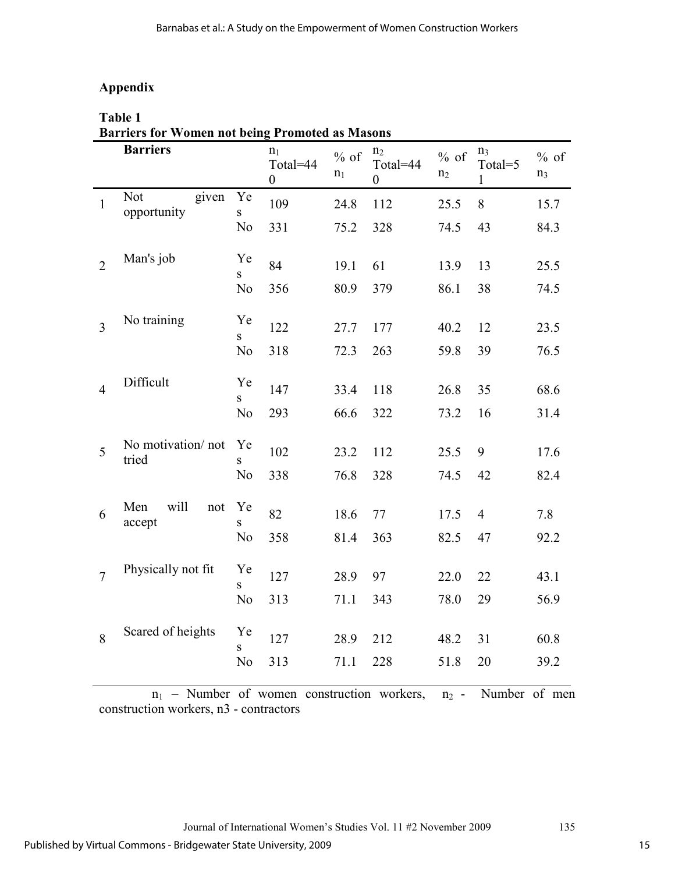# **Appendix**

|                | Table 1                                                                   |                |                                                |                 |                                                |                          |                                           |                          |
|----------------|---------------------------------------------------------------------------|----------------|------------------------------------------------|-----------------|------------------------------------------------|--------------------------|-------------------------------------------|--------------------------|
|                | <b>Barriers for Women not being Promoted as Masons</b><br><b>Barriers</b> |                | n <sub>1</sub><br>Total=44<br>$\boldsymbol{0}$ | $%$ of<br>$n_1$ | n <sub>2</sub><br>Total=44<br>$\boldsymbol{0}$ | $%$ of<br>n <sub>2</sub> | n <sub>3</sub><br>Total=5<br>$\mathbf{1}$ | $%$ of<br>n <sub>3</sub> |
| $\mathbf{1}$   | Not<br>given<br>opportunity                                               | Ye<br>S.       | 109                                            | 24.8            | 112                                            | 25.5                     | 8                                         | 15.7                     |
|                |                                                                           | No             | 331                                            | 75.2            | 328                                            | 74.5                     | 43                                        | 84.3                     |
| $\overline{2}$ | Man's job                                                                 | Ye<br>S.       | 84                                             | 19.1            | 61                                             | 13.9                     | 13                                        | 25.5                     |
|                |                                                                           | No             | 356                                            | 80.9            | 379                                            | 86.1                     | 38                                        | 74.5                     |
| 3              | No training                                                               | Ye<br>S        | 122                                            | 27.7            | 177                                            | 40.2                     | 12                                        | 23.5                     |
|                |                                                                           | N <sub>0</sub> | 318                                            | 72.3            | 263                                            | 59.8                     | 39                                        | 76.5                     |
| $\overline{4}$ | Difficult                                                                 | Ye<br>S.       | 147                                            | 33.4            | 118                                            | 26.8                     | 35                                        | 68.6                     |
|                |                                                                           | N <sub>0</sub> | 293                                            | 66.6            | 322                                            | 73.2                     | 16                                        | 31.4                     |
| 5              | No motivation/not<br>tried                                                | Ye<br>S        | 102                                            | 23.2            | 112                                            | 25.5                     | 9                                         | 17.6                     |
|                |                                                                           | No             | 338                                            | 76.8            | 328                                            | 74.5                     | 42                                        | 82.4                     |
| 6              | Men<br>will<br>not<br>accept                                              | Ye<br>S.       | 82                                             | 18.6            | 77                                             | 17.5                     | $\overline{4}$                            | 7.8                      |
|                |                                                                           | No             | 358                                            | 81.4            | 363                                            | 82.5                     | 47                                        | 92.2                     |
| $\overline{7}$ | Physically not fit                                                        | Ye<br>S        | 127                                            | 28.9            | 97                                             | 22.0                     | 22                                        | 43.1                     |
|                |                                                                           | N <sub>o</sub> | 313                                            | 71.1            | 343                                            | 78.0                     | 29                                        | 56.9                     |
| 8              | Scared of heights                                                         | Ye<br>S        | 127                                            | 28.9            | 212                                            | 48.2                     | 31                                        | 60.8                     |
|                |                                                                           | No             | 313                                            | 71.1            | 228                                            | 51.8                     | 20                                        | 39.2                     |

 $n_1$  – Number of women construction workers,  $n_2$  - Number of men construction workers, n3 - contractors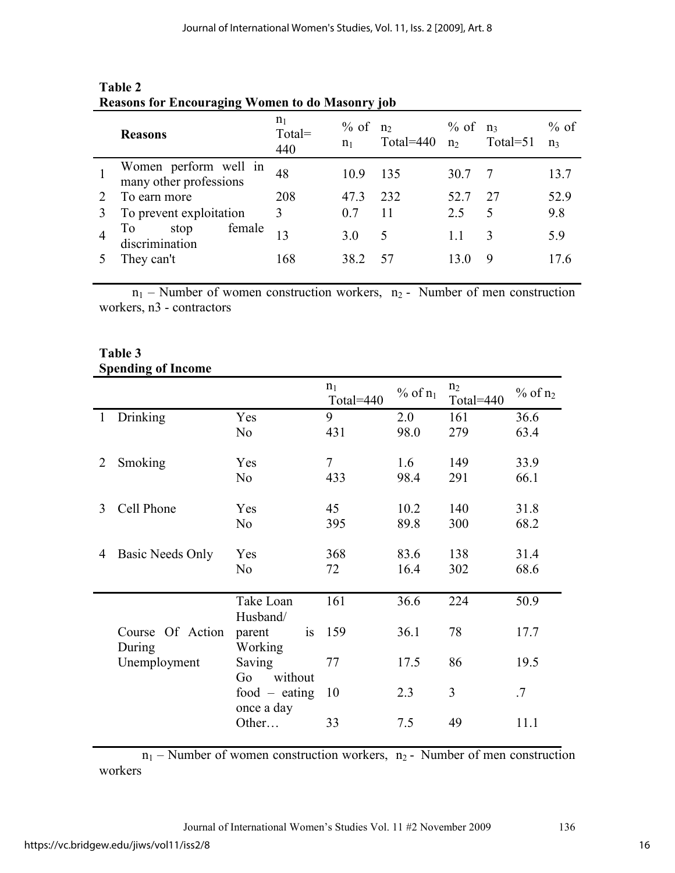| <b>Reasons</b>                                  | n <sub>1</sub><br>Total=<br>440 | $\%$ of $n_2$<br>n <sub>1</sub> | Total= $440$ | $\%$ of $n_3$<br>n <sub>2</sub> | Total= $51$              | $%$ of<br>$n_3$ |
|-------------------------------------------------|---------------------------------|---------------------------------|--------------|---------------------------------|--------------------------|-----------------|
| Women perform well in<br>many other professions | 48                              | 10.9                            | 135          | 30.7                            |                          | 13.7            |
| To earn more                                    | 208                             | 47.3                            | 232          | 52.7                            | 27                       | 52.9            |
| To prevent exploitation                         | 3                               | 0.7                             | 11           | 2.5                             | $\overline{\mathcal{L}}$ | 9.8             |
| female<br>stop<br>10<br>discrimination          |                                 | 3.0                             | $\Delta$     | 1.1                             |                          | 59              |
| They can't                                      | 168                             | 38.2                            |              |                                 |                          |                 |

# **Table 2 Reasons for Encouraging Women to do Masonry job**

 $n_1$  – Number of women construction workers,  $n_2$  - Number of men construction workers, n3 - contractors

# **Table 3 Spending of Income**

|   |                            |                               | $n_1$<br>Total=440 | $%$ of $n_1$ | n <sub>2</sub><br>Total=440 | $%$ of $n_2$ |
|---|----------------------------|-------------------------------|--------------------|--------------|-----------------------------|--------------|
|   | 1 Drinking                 | Yes                           | 9                  | 2.0          | 161                         | 36.6         |
|   |                            | N <sub>0</sub>                | 431                | 98.0         | 279                         | 63.4         |
| 2 | Smoking                    | Yes                           | 7                  | 1.6          | 149                         | 33.9         |
|   |                            | N <sub>0</sub>                | 433                | 98.4         | 291                         | 66.1         |
| 3 | Cell Phone                 | Yes                           | 45                 | 10.2         | 140                         | 31.8         |
|   |                            | N <sub>0</sub>                | 395                | 89.8         | 300                         | 68.2         |
| 4 | Basic Needs Only           | Yes                           | 368                | 83.6         | 138                         | 31.4         |
|   |                            | N <sub>0</sub>                | 72                 | 16.4         | 302                         | 68.6         |
|   |                            | Take Loan<br>Husband/         | 161                | 36.6         | 224                         | 50.9         |
|   | Course Of Action<br>During | parent<br>is<br>Working       | 159                | 36.1         | 78                          | 17.7         |
|   | Unemployment               | Saving<br>without<br>Go       | 77                 | 17.5         | 86                          | 19.5         |
|   |                            | food $-$ eating<br>once a day | 10                 | 2.3          | 3                           | .7           |
|   |                            | Other                         | 33                 | 7.5          | 49                          | 11.1         |

 $n_1$  – Number of women construction workers,  $n_2$  - Number of men construction workers

Journal of International Women's Studies Vol. 11 #2 November 2009 136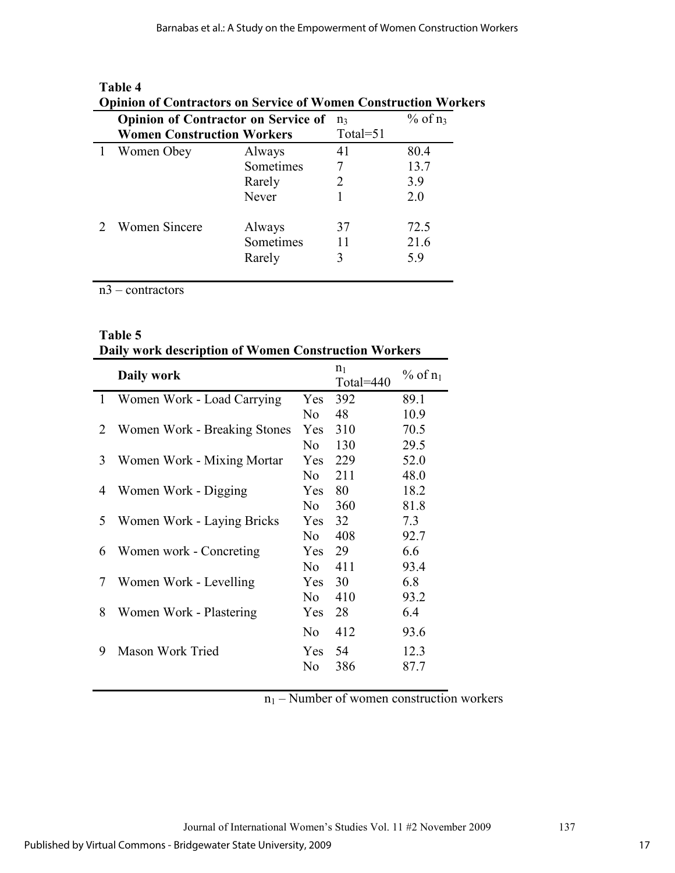| оршон от сони ассогз он эсгүнсс от үгөнгөн сонзи ассоот үгөгж |           |          |              |
|---------------------------------------------------------------|-----------|----------|--------------|
| <b>Opinion of Contractor on Service of</b>                    |           | $n_3$    | $%$ of $n_3$ |
| <b>Women Construction Workers</b>                             |           | Total=51 |              |
| Women Obey                                                    | Always    | 41       | 80.4         |
|                                                               | Sometimes |          | 13.7         |
|                                                               | Rarely    |          | 3.9          |
|                                                               | Never     |          | 2.0          |
| <b>Women Sincere</b>                                          | Always    | 37       | 72.5         |
|                                                               | Sometimes | 11       | 21.6         |
|                                                               | Rarely    | 3        | 5.9          |
|                                                               |           |          |              |

# **Table 4**

# **Opinion of Contractors on Service of Women Construction Workers**

n3 – contractors

|              | <b>Table 5</b><br>Daily work description of Women Construction Workers |                |                    |            |  |  |
|--------------|------------------------------------------------------------------------|----------------|--------------------|------------|--|--|
|              | Daily work                                                             |                | $n_1$<br>Total=440 | % of $n_1$ |  |  |
| $\mathbf{1}$ | Women Work - Load Carrying                                             | <b>Yes</b>     | 392                | 89.1       |  |  |
|              |                                                                        | N <sub>0</sub> | 48                 | 10.9       |  |  |
| 2            | Women Work - Breaking Stones                                           | Yes            | 310                | 70.5       |  |  |
|              |                                                                        | N <sub>o</sub> | 130                | 29.5       |  |  |
| 3            | Women Work - Mixing Mortar                                             | Yes            | 229                | 52.0       |  |  |
|              |                                                                        | N <sub>0</sub> | 211                | 48.0       |  |  |
| 4            | Women Work - Digging                                                   | Yes            | 80                 | 18.2       |  |  |
|              |                                                                        | No.            | 360                | 81.8       |  |  |
| 5            | Women Work - Laying Bricks                                             | <b>Yes</b>     | 32                 | 7.3        |  |  |
|              |                                                                        | N <sub>o</sub> | 408                | 92.7       |  |  |
| 6            | Women work - Concreting                                                | Yes            | 29                 | 6.6        |  |  |
|              |                                                                        | N <sub>0</sub> | 411                | 93.4       |  |  |
| 7            | Women Work - Levelling                                                 | Yes            | 30                 | 6.8        |  |  |
|              |                                                                        | N <sub>o</sub> | 410                | 93.2       |  |  |
| 8            | Women Work - Plastering                                                | Yes            | 28                 | 6.4        |  |  |
|              |                                                                        | N <sub>0</sub> | 412                | 93.6       |  |  |
| 9            | Mason Work Tried                                                       | Yes            | 54                 | 12.3       |  |  |
|              |                                                                        | No             | 386                | 87.7       |  |  |
|              |                                                                        |                |                    |            |  |  |

# **Table 5**

 $n_1$  – Number of women construction workers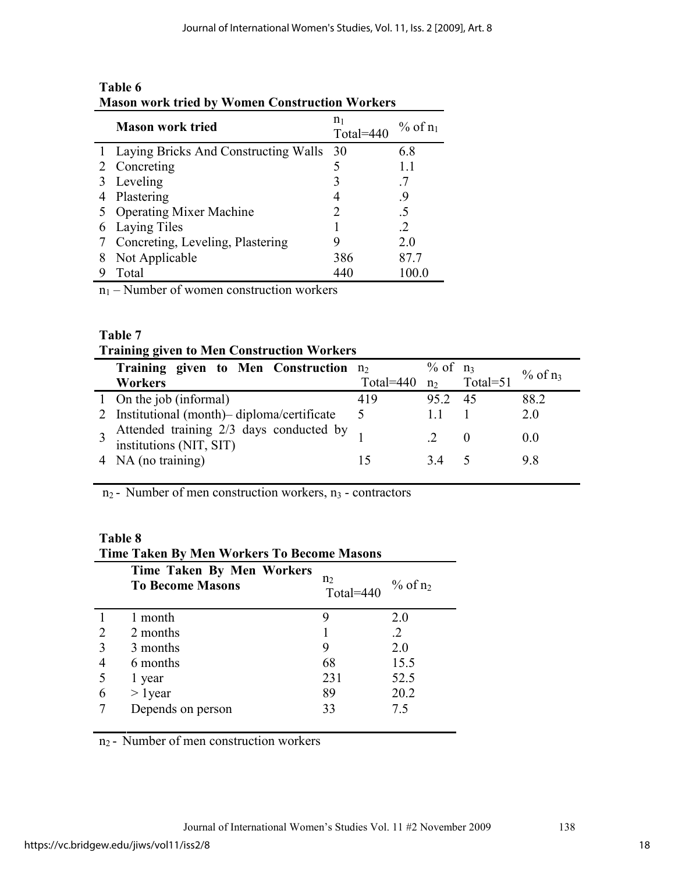|   | <b>NASUL WULK LITEG DY WULLEL CULISII UCLIUIL WULKELS</b> |                             |              |  |  |  |
|---|-----------------------------------------------------------|-----------------------------|--------------|--|--|--|
|   | <b>Mason work tried</b>                                   | n <sub>1</sub><br>Total=440 | $%$ of $n_1$ |  |  |  |
|   | 1 Laying Bricks And Constructing Walls 30                 |                             | 6.8          |  |  |  |
|   | 2 Concreting                                              |                             | 1.1          |  |  |  |
|   | Leveling                                                  | 3                           |              |  |  |  |
|   | Plastering                                                |                             | 9.           |  |  |  |
|   | 5 Operating Mixer Machine                                 |                             | .5           |  |  |  |
| 6 | Laying Tiles                                              |                             | 2            |  |  |  |
|   | Concreting, Leveling, Plastering                          |                             | 2.0          |  |  |  |
| 8 | Not Applicable                                            | 386                         | 87.7         |  |  |  |
|   | Total                                                     | 440                         | 100.0        |  |  |  |
|   | $\sim$<br>п.<br>$\mathbf{r}$ 1                            |                             |              |  |  |  |

# **Table 6 Mason work tried by Women Construction Workers**

 $n_1$  – Number of women construction workers

# **Table 7**

# **Training given to Men Construction Workers**

| Training given to Men Construction $n_2$                              |                          | $\%$ of $n_3$ |    | $\%$ of $n_3$ |
|-----------------------------------------------------------------------|--------------------------|---------------|----|---------------|
| Workers                                                               | Total=440 $n_2$ Total=51 |               |    |               |
| 1 On the job (informal)                                               | 419                      | 95.2          | 45 | 88.2          |
| 2 Institutional (month) - diploma/certificate                         | $\Delta$                 |               |    | 2 0           |
| 3 Attended training $2/3$ days conducted by 1 institutions (NIT, SIT) |                          |               | -0 | $\Omega$      |
| 4 NA (no training)                                                    |                          | 34            |    |               |

 $n_2$  - Number of men construction workers,  $n_3$  - contractors

# **Table 8**

|                | <b>Time Taken By Men Workers To Become Masons</b>    |                             |               |  |  |  |
|----------------|------------------------------------------------------|-----------------------------|---------------|--|--|--|
|                | Time Taken By Men Workers<br><b>To Become Masons</b> | n <sub>2</sub><br>Total=440 | $\%$ of $n_2$ |  |  |  |
|                | 1 month                                              | 9                           | 2.0           |  |  |  |
| $\overline{2}$ | 2 months                                             |                             | $\cdot$ 2     |  |  |  |
| 3              | 3 months                                             | 9                           | 2.0           |  |  |  |
| 4              | 6 months                                             | 68                          | 15.5          |  |  |  |
| 5              | 1 year                                               | 231                         | 52.5          |  |  |  |
| 6              | $> 1$ year                                           | 89                          | 20.2          |  |  |  |
|                | Depends on person                                    | 33                          | 75            |  |  |  |

 $n_2$  - Number of men construction workers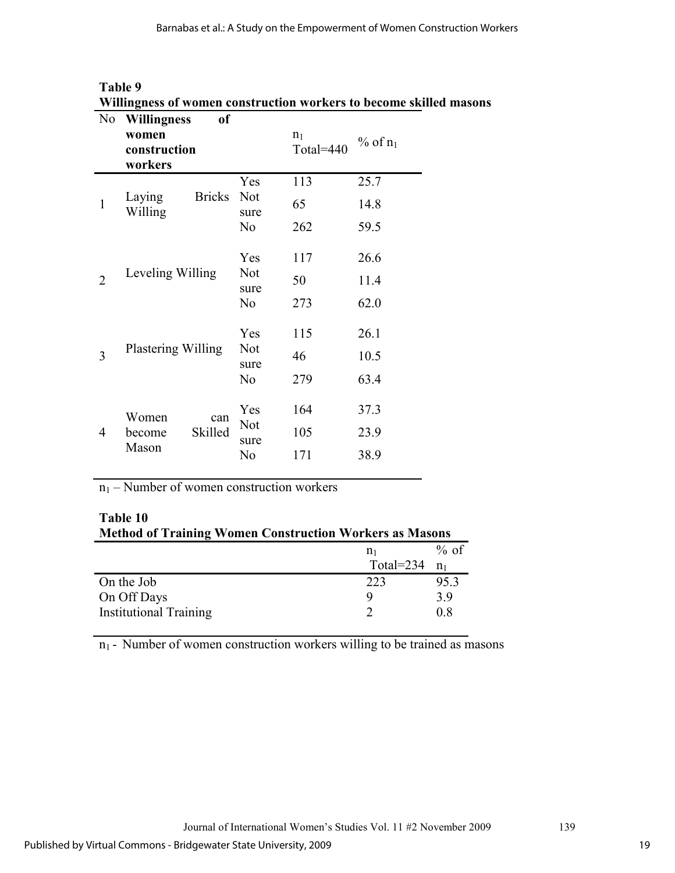| N <sub>0</sub> | <b>Willingness</b><br>of           |                                      |                             |            |
|----------------|------------------------------------|--------------------------------------|-----------------------------|------------|
|                | women<br>construction<br>workers   |                                      | n <sub>1</sub><br>Total=440 | % of $n_1$ |
|                |                                    | Yes                                  | 113                         | 25.7       |
| $\mathbf{1}$   | <b>Bricks</b><br>Laying<br>Willing | <b>Not</b><br>sure                   | 65                          | 14.8       |
|                |                                    | N <sub>0</sub>                       | 262                         | 59.5       |
|                |                                    | Yes                                  | 117                         | 26.6       |
| $\overline{2}$ | Leveling Willing                   | <b>Not</b><br>sure<br>N <sub>0</sub> | 50                          | 11.4       |
|                |                                    |                                      | 273                         | 62.0       |
|                |                                    | Yes                                  | 115                         | 26.1       |
| 3              | Plastering Willing                 | Not<br>sure                          | 46                          | 10.5       |
|                |                                    | N <sub>0</sub>                       | 279                         | 63.4       |
|                | Women<br>can                       | Yes                                  | 164                         | 37.3       |
| 4              | Skilled<br>become                  | <b>Not</b><br>sure                   | 105                         | 23.9       |
|                | Mason                              | No                                   | 171                         | 38.9       |

| Table 9 |  |                                                                    |  |
|---------|--|--------------------------------------------------------------------|--|
|         |  | Willingness of women construction workers to become skilled masons |  |
|         |  |                                                                    |  |

 $n_1$  – Number of women construction workers

| Table 10                                                       |
|----------------------------------------------------------------|
| <b>Method of Training Women Construction Workers as Masons</b> |

|                               | nı           | $%$ of |
|-------------------------------|--------------|--------|
|                               | Total= $234$ | $n_1$  |
| On the Job                    | 223          | 95.3   |
| On Off Days                   |              | 39     |
| <b>Institutional Training</b> |              | 08     |

 $n_1$  - Number of women construction workers willing to be trained as masons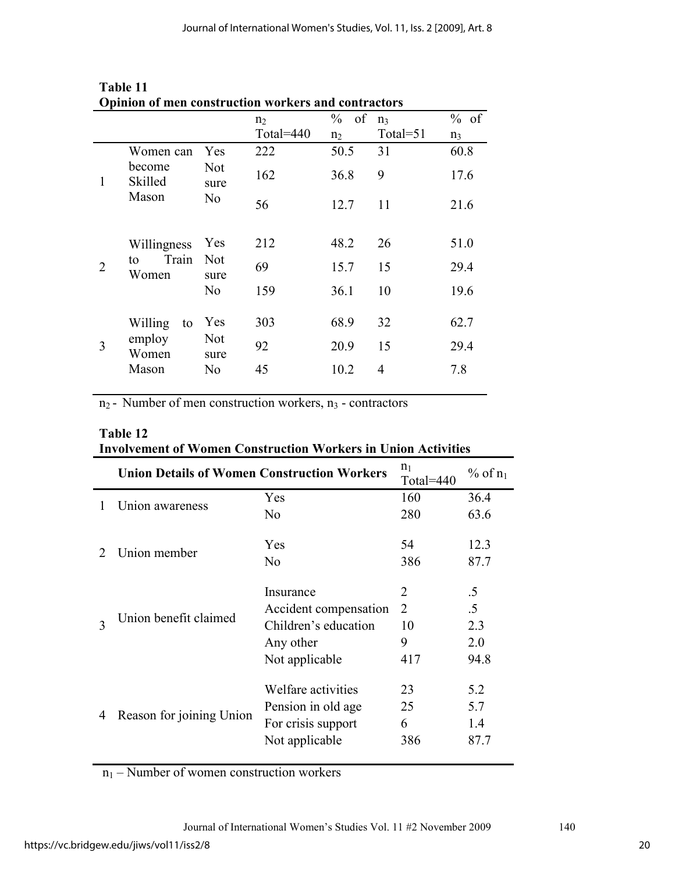|                |                                         |                                             | n <sub>2</sub><br>Total=440 | $\frac{0}{0}$<br>of<br>n <sub>2</sub> | $n_3$<br>Total=51 | $%$ of<br>$n_3$ |
|----------------|-----------------------------------------|---------------------------------------------|-----------------------------|---------------------------------------|-------------------|-----------------|
| 1              | Women can<br>become<br>Skilled<br>Mason | Yes<br><b>Not</b><br>sure<br>N <sub>0</sub> | 222                         | 50.5                                  | 31                | 60.8            |
|                |                                         |                                             | 162                         | 36.8                                  | 9                 | 17.6            |
|                |                                         |                                             | 56                          | 12.7                                  | 11                | 21.6            |
| $\overline{2}$ | Willingness<br>Train<br>to<br>Women     | Yes<br><b>Not</b><br>sure<br>N <sub>0</sub> | 212                         | 48.2                                  | 26                | 51.0            |
|                |                                         |                                             | 69                          | 15.7                                  | 15                | 29.4            |
|                |                                         |                                             | 159                         | 36.1                                  | 10                | 19.6            |
|                | Willing<br>to                           | Yes                                         | 303                         | 68.9                                  | 32                | 62.7            |
| 3              | employ<br>Women<br>Mason                | <b>Not</b><br>sure                          | 92                          | 20.9                                  | 15                | 29.4            |
|                |                                         | No                                          | 45                          | 10.2                                  | 4                 | 7.8             |

| Table 11                                            |  |
|-----------------------------------------------------|--|
| Opinion of men construction workers and contractors |  |

 $n_2$  - Number of men construction workers,  $n_3$  - contractors

| Table 12                                                             |  |
|----------------------------------------------------------------------|--|
| <b>Involvement of Women Construction Workers in Union Activities</b> |  |

|   | <b>Union Details of Women Construction Workers</b> | n <sub>1</sub><br>Total=440     | $%$ of $n_1$   |           |
|---|----------------------------------------------------|---------------------------------|----------------|-----------|
|   |                                                    | Yes                             | 160            | 36.4      |
| 1 | Union awareness                                    | N <sub>0</sub>                  | 280            | 63.6      |
|   |                                                    | Yes                             | 54             | 12.3      |
|   |                                                    | Union member<br>No<br>Insurance | 386            | 87.7      |
|   |                                                    |                                 | $\overline{2}$ | $.5\,$    |
| 3 | Union benefit claimed                              | Accident compensation           | 2              | $\cdot$ 5 |
|   |                                                    | Children's education            | 10             | 2.3       |
|   |                                                    | Any other                       | 9              | 2.0       |
|   |                                                    | Not applicable                  | 417            | 94.8      |
|   |                                                    | Welfare activities              | 23             | 5.2       |
| 4 | Reason for joining Union                           | Pension in old age              | 25             | 5.7       |
|   |                                                    | For crisis support              | 6              | 1.4       |
|   |                                                    | Not applicable                  | 386            | 87.7      |

 $n_1$  – Number of women construction workers